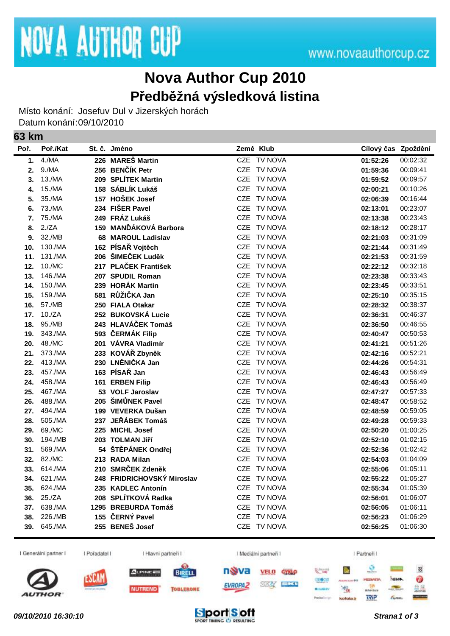## **Nova Author Cup 2010 Předběžná výsledková listina**

Místo konání: Josefuv Dul v Jizerských horách Datum konání:09/10/2010

## **63 km**

| Poř. | Poř./Kat | St. č. Jméno               | Země Klub                    | Cílový čas Zpoždění |          |
|------|----------|----------------------------|------------------------------|---------------------|----------|
| 1.   | 4./MA    | 226 MAREŠ Martin           | CZE TV NOVA                  | 01:52:26            | 00:02:32 |
| 2.   | 9./MA    | 256 BENČÍK Petr            | <b>CZE</b><br>TV NOVA        | 01:59:36            | 00:09:41 |
| 3.   | 13./MA   | 209 SPLÍTEK Martin         | CZE<br>TV NOVA               | 01:59:52            | 00:09:57 |
| 4.   | 15./MA   | 158 SÁBLÍK Lukáš           | <b>CZE</b><br><b>TV NOVA</b> | 02:00:21            | 00:10:26 |
| 5.   | 35./MA   | 157 HOŠEK Josef            | CZE TV NOVA                  | 02:06:39            | 00:16:44 |
| 6.   | 73./MA   | 234 FIŠER Pavel            | <b>CZE</b><br><b>TV NOVA</b> | 02:13:01            | 00:23:07 |
| 7.   | 75./MA   | 249 FRÁZ Lukáš             | <b>CZE</b><br>TV NOVA        | 02:13:38            | 00:23:43 |
| 8.   | 2./ZA    | 159 MANĎÁKOVÁ Barbora      | <b>CZE</b><br><b>TV NOVA</b> | 02:18:12            | 00:28:17 |
| 9.   | 32./MB   | 68 MAROUL Ladislav         | <b>CZE</b><br>TV NOVA        | 02:21:03            | 00:31:09 |
| 10.  | 130./MA  | 162 PÍSAŘ Vojtěch          | <b>CZE</b><br>TV NOVA        | 02:21:44            | 00:31:49 |
| 11.  | 131./MA  | 206 ŠIMEČEK Luděk          | <b>CZE</b><br><b>TV NOVA</b> | 02:21:53            | 00:31:59 |
| 12.  | 10./MC   | 217 PLAČEK František       | <b>CZE</b><br><b>TV NOVA</b> | 02:22:12            | 00:32:18 |
| 13.  | 146./MA  | 207 SPUDIL Roman           | CZE TV NOVA                  | 02:23:38            | 00:33:43 |
| 14.  | 150./MA  | 239 HORÁK Martin           | <b>CZE</b><br><b>TV NOVA</b> | 02:23:45            | 00:33:51 |
| 15.  | 159./MA  | 581 RŮŽIČKA Jan            | <b>CZE</b><br>TV NOVA        | 02:25:10            | 00:35:15 |
| 16.  | 57./MB   | 250 FIALA Otakar           | <b>CZE</b><br>TV NOVA        | 02:28:32            | 00:38:37 |
| 17.  | 10./ZA   | 252 BUKOVSKÁ Lucie         | <b>CZE</b><br>TV NOVA        | 02:36:31            | 00:46:37 |
| 18.  | 95./MB   | 243 HLAVÁČEK Tomáš         | CZE TV NOVA                  | 02:36:50            | 00:46:55 |
| 19.  | 343./MA  | 593 ČERMÁK Filip           | <b>CZE</b><br><b>TV NOVA</b> | 02:40:47            | 00:50:53 |
| 20.  | 48./MC   | 201 VÁVRA Vladimír         | CZE TV NOVA                  | 02:41:21            | 00:51:26 |
| 21.  | 373./MA  | 233 KOVÁŘ Zbyněk           | <b>CZE</b><br>TV NOVA        | 02:42:16            | 00:52:21 |
| 22.  | 413./MA  | 230 LNĚNIČKA Jan           | <b>CZE</b><br><b>TV NOVA</b> | 02:44:26            | 00:54:31 |
| 23.  | 457./MA  | 163 PÍSAŘ Jan              | CZE<br><b>TV NOVA</b>        | 02:46:43            | 00:56:49 |
| 24.  | 458./MA  | 161 ERBEN Filip            | <b>TV NOVA</b><br><b>CZE</b> | 02:46:43            | 00:56:49 |
| 25.  | 467./MA  | 53 VOLF Jaroslav           | <b>CZE</b><br><b>TV NOVA</b> | 02:47:27            | 00:57:33 |
| 26.  | 488./MA  | 205 ŠIMŮNEK Pavel          | <b>CZE</b><br>TV NOVA        | 02:48:47            | 00:58:52 |
| 27.  | 494./MA  | 199 VEVERKA Dušan          | <b>CZE</b><br><b>TV NOVA</b> | 02:48:59            | 00:59:05 |
| 28.  | 505./MA  | 237 JEŘÁBEK Tomáš          | <b>CZE</b><br>TV NOVA        | 02:49:28            | 00:59:33 |
| 29.  | 69./MC   | 225 MICHL Josef            | CZE<br>TV NOVA               | 02:50:20            | 01:00:25 |
| 30.  | 194./MB  | 203 TOLMAN Jiří            | <b>CZE</b><br><b>TV NOVA</b> | 02:52:10            | 01:02:15 |
| 31.  | 569./MA  | 54 ŠTĚPÁNEK Ondřej         | <b>CZE</b><br><b>TV NOVA</b> | 02:52:36            | 01:02:42 |
| 32.  | 82./MC   | 213 RADA Milan             | <b>CZE</b><br><b>TV NOVA</b> | 02:54:03            | 01:04:09 |
| 33.  | 614./MA  | 210 SMRČEK Zdeněk          | <b>CZE</b><br>TV NOVA        | 02:55:06            | 01:05:11 |
| 34.  | 621./MA  | 248 FRIDRICHOVSKÝ Miroslav | <b>CZE</b><br>TV NOVA        | 02:55:22            | 01:05:27 |
| 35.  | 624./MA  | 235 KADLEC Antonín         | CZE<br>TV NOVA               | 02:55:34            | 01:05:39 |
| 36.  | 25./ZA   | 208 SPLÍTKOVÁ Radka        | <b>CZE</b><br>TV NOVA        | 02:56:01            | 01:06:07 |
| 37.  | 638./MA  | 1295 BREBURDA Tomáš        | <b>TV NOVA</b><br>CZE        | 02:56:05            | 01:06:11 |
| 38.  | 226./MB  | 155 ČERNÝ Pavel            | <b>CZE</b><br><b>TV NOVA</b> | 02:56:23            | 01:06:29 |
| 39.  | 645./MA  | 255 BENEŠ Josef            | CZE TV NOVA                  | 02:56:25            | 01:06:30 |



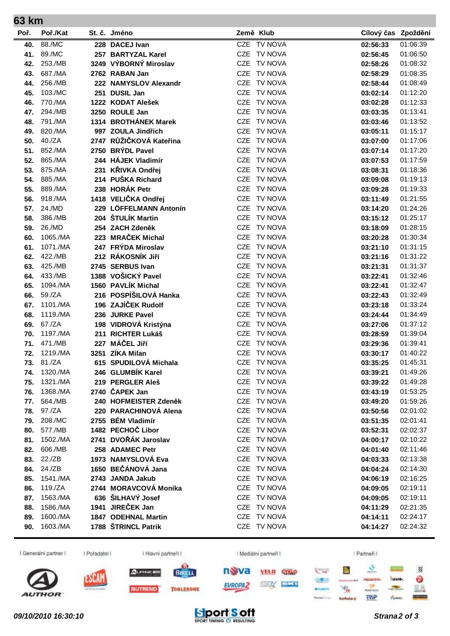|      | 63 km             |  |                         |             |                     |          |  |  |
|------|-------------------|--|-------------------------|-------------|---------------------|----------|--|--|
| Poř. | Poř./Kat          |  | St. č. Jméno            | Země Klub   | Cílový čas Zpoždění |          |  |  |
| 40.  | 88./MC            |  | 228 DACEJ Ivan          | CZE TV NOVA | 02:56:33            | 01:06:39 |  |  |
| 41.  | 89./MC            |  | 257 BARTYZAL Karel      | CZE TV NOVA | 02:56:45            | 01:06:50 |  |  |
| 42.  | 253./MB           |  | 3249 VÝBORNÝ Miroslav   | CZE TV NOVA | 02:58:26            | 01:08:32 |  |  |
| 43.  | 687./MA           |  | 2762 RABAN Jan          | CZE TV NOVA | 02:58:29            | 01:08:35 |  |  |
| 44.  | 256./MB           |  | 222 NAMYSLOV Alexandr   | CZE TV NOVA | 02:58:44            | 01:08:49 |  |  |
| 45.  | 103./MC           |  | 251 DUSIL Jan           | CZE TV NOVA | 03:02:14            | 01:12:20 |  |  |
| 46.  | 770./MA           |  | 1222 KODAT Alešek       | CZE TV NOVA | 03:02:28            | 01:12:33 |  |  |
| 47.  | 294./MB           |  | 3250 ROULE Jan          | CZE TV NOVA | 03:03:35            | 01:13:41 |  |  |
| 48.  | 791./MA           |  | 1314 BROTHÁNEK Marek    | CZE TV NOVA | 03:03:46            | 01:13:52 |  |  |
| 49.  | 820./MA           |  | 997 ZOULA Jindřich      | CZE TV NOVA | 03:05:11            | 01:15:17 |  |  |
| 50.  | 40./ZA            |  | 2747 RŮŽIČKOVÁ Kateřina | CZE TV NOVA | 03:07:00            | 01:17:06 |  |  |
| 51.  | 852./MA           |  | 2750 BRYDL Pavel        | CZE TV NOVA | 03:07:14            | 01:17:20 |  |  |
| 52.  | 865./MA           |  | 244 HÁJEK Vladimír      | CZE TV NOVA | 03:07:53            | 01:17:59 |  |  |
| 53.  | 875./MA           |  | 231 KŘIVKA Ondřej       | CZE TV NOVA | 03:08:31            | 01:18:36 |  |  |
| 54.  | 885./MA           |  | 214 PUŠKA Richard       | CZE TV NOVA | 03:09:08            | 01:19:13 |  |  |
| 55.  | 889./MA           |  | 238 HORÁK Petr          | CZE TV NOVA | 03:09:28            | 01:19:33 |  |  |
| 56.  | 918./MA           |  | 1418 VELIČKA Ondřej     | CZE TV NOVA | 03:11:49            | 01:21:55 |  |  |
| 57.  | 24./MD            |  | 229 LÖFFELMANN Antonín  | CZE TV NOVA | 03:14:20            | 01:24:26 |  |  |
| 58.  | 386./MB           |  | 204 ŠTULÍK Martin       | CZE TV NOVA | 03:15:12            | 01:25:17 |  |  |
| 59.  | 26./MD            |  | 254 ZACH Zdeněk         | CZE TV NOVA | 03:18:09            | 01:28:15 |  |  |
| 60.  | 1065./MA          |  | 223 MRAČEK Michal       | CZE TV NOVA | 03:20:28            | 01:30:34 |  |  |
| 61.  | 1071./MA          |  | 247 FRÝDA Miroslav      | CZE TV NOVA | 03:21:10            | 01:31:15 |  |  |
| 62.  | 422./MB           |  | 212 RÁKOSNÍK Jiří       | CZE TV NOVA | 03:21:16            | 01:31:22 |  |  |
| 63.  | 425./MB           |  | 2745 SERBUS Ivan        | CZE TV NOVA | 03:21:31            | 01:31:37 |  |  |
| 64.  | 433./MB           |  | 1388 VOŠICKÝ Pavel      | CZE TV NOVA | 03:22:41            | 01:32:46 |  |  |
| 65.  | 1094./MA          |  | 1560 PAVLÍK Michal      | CZE TV NOVA | 03:22:41            | 01:32:47 |  |  |
| 66.  | 59./ZA            |  | 216 POSPÍŠILOVÁ Hanka   | CZE TV NOVA | 03:22:43            | 01:32:49 |  |  |
| 67.  | 1101./MA          |  | 196 ZAJÍČEK Rudolf      | CZE TV NOVA | 03:23:18            | 01:33:24 |  |  |
| 68.  | 1119./MA          |  | 236 JURKE Pavel         | CZE TV NOVA | 03:24:44            | 01:34:49 |  |  |
| 69.  | 67./ZA            |  | 198 VIDROVÁ Kristýna    | CZE TV NOVA | 03:27:06            | 01:37:12 |  |  |
| 70.  | 1197./MA          |  | 211 RICHTER Lukáš       | CZE TV NOVA | 03:28:59            | 01:39:04 |  |  |
| 71.  | 471./MB           |  | 227 MÁČEL Jiří          | CZE TV NOVA | 03:29:36            | 01:39:41 |  |  |
| 72.  | 1219./MA          |  | 3251 ZÍKA Milan         | CZE TV NOVA | 03:30:17            | 01:40:22 |  |  |
|      | <b>73.</b> 81./ZA |  | 615 SPUDILOVÁ Michala   | CZE TV NOVA | 03:35:25            | 01:45:31 |  |  |
| 74.  | 1320./MA          |  | 246 GLUMBÍK Karel       | CZE TV NOVA | 03:39:21            | 01:49:26 |  |  |
|      | 75. 1321./MA      |  | 219 PERGLER Aleš        | CZE TV NOVA | 03:39:22            | 01:49:28 |  |  |
| 76.  | 1368./MA          |  | 2740 ČAPEK Jan          | CZE TV NOVA | 03:43:19            | 01:53:25 |  |  |
| 77.  | 564./MB           |  | 240 HOFMEISTER Zdeněk   | CZE TV NOVA | 03:49:20            | 01:59:26 |  |  |
| 78.  | 97./ZA            |  | 220 PARACHINOVÁ Alena   | CZE TV NOVA | 03:50:56            | 02:01:02 |  |  |
| 79.  | 208./MC           |  | 2755 BÉM Vladimír       | CZE TV NOVA | 03:51:35            | 02:01:41 |  |  |
| 80.  | 577./MB           |  | 1482 PECHOČ Libor       | CZE TV NOVA | 03:52:31            | 02:02:37 |  |  |
| 81.  | 1502./MA          |  | 2741 DVOŘÁK Jaroslav    | CZE TV NOVA | 04:00:17            | 02:10:22 |  |  |
| 82.  | 606./MB           |  | 258 ADAMEC Petr         | CZE TV NOVA | 04:01:40            | 02:11:46 |  |  |
|      | 83. 22./ZB        |  | 1973 NAMYSLOVÁ Eva      | CZE TV NOVA | 04:03:33            | 02:13:38 |  |  |
|      | 84. 24./ZB        |  | 1650 BEČÁNOVÁ Jana      | CZE TV NOVA | 04:04:24            | 02:14:30 |  |  |
| 85.  | 1541./MA          |  | 2743 JANDA Jakub        | CZE TV NOVA | 04:06:19            | 02:16:25 |  |  |
| 86.  | 119./ZA           |  | 2744 MORAVCOVÁ Monika   | CZE TV NOVA | 04:09:05            | 02:19:11 |  |  |
| 87.  | 1563./MA          |  | 636 ŠILHAVÝ Josef       | CZE TV NOVA | 04:09:05            | 02:19:11 |  |  |
| 88.  | 1586./MA          |  | 1941 JIREČEK Jan        | CZE TV NOVA | 04:11:29            | 02:21:35 |  |  |
| 89.  | 1600./MA          |  | 1847 ODEHNAL Martin     | CZE TV NOVA | 04:14:11            | 02:24:17 |  |  |
| 90.  | 1603./MA          |  | 1788 ŠTRINCL Patrik     | CZE TV NOVA | 04:14:27            | 02:24:32 |  |  |